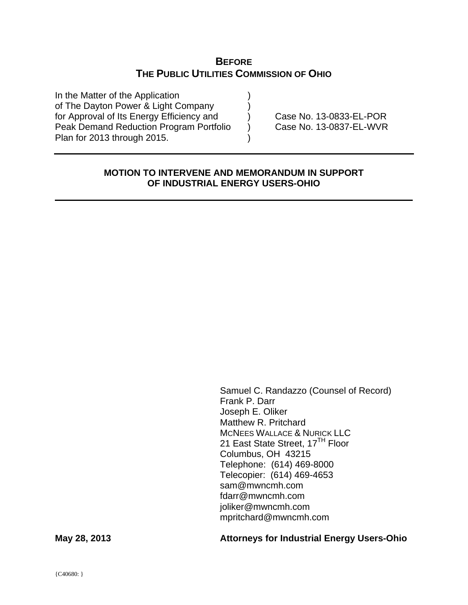# **BEFORE THE PUBLIC UTILITIES COMMISSION OF OHIO**

In the Matter of the Application (1) of The Dayton Power & Light Company for Approval of Its Energy Efficiency and (a) Case No. 13-0833-EL-POR Peak Demand Reduction Program Portfolio  $\overrightarrow{\text{)}$  Case No. 13-0837-EL-WVR Plan for 2013 through 2015.

### **MOTION TO INTERVENE AND MEMORANDUM IN SUPPORT OF INDUSTRIAL ENERGY USERS-OHIO**

 Samuel C. Randazzo (Counsel of Record) Frank P. Darr Joseph E. Oliker Matthew R. Pritchard MCNEES WALLACE & NURICK LLC 21 East State Street, 17<sup>TH</sup> Floor Columbus, OH 43215 Telephone: (614) 469-8000 Telecopier: (614) 469-4653 sam@mwncmh.com fdarr@mwncmh.com joliker@mwncmh.com mpritchard@mwncmh.com

**May 28, 2013 Attorneys for Industrial Energy Users-Ohio**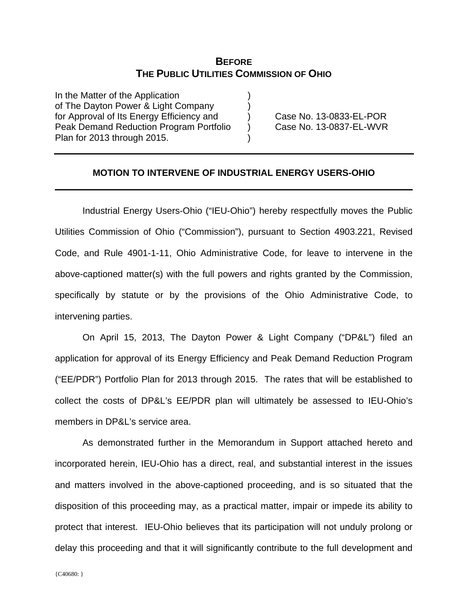## **BEFORE THE PUBLIC UTILITIES COMMISSION OF OHIO**

In the Matter of the Application of The Dayton Power & Light Company for Approval of Its Energy Efficiency and (a) Case No. 13-0833-EL-POR Peak Demand Reduction Program Portfolio (b) Case No. 13-0837-EL-WVR Plan for 2013 through 2015.

#### **MOTION TO INTERVENE OF INDUSTRIAL ENERGY USERS-OHIO**

Industrial Energy Users-Ohio ("IEU-Ohio") hereby respectfully moves the Public Utilities Commission of Ohio ("Commission"), pursuant to Section 4903.221, Revised Code, and Rule 4901-1-11, Ohio Administrative Code, for leave to intervene in the above-captioned matter(s) with the full powers and rights granted by the Commission, specifically by statute or by the provisions of the Ohio Administrative Code, to intervening parties.

On April 15, 2013, The Dayton Power & Light Company ("DP&L") filed an application for approval of its Energy Efficiency and Peak Demand Reduction Program ("EE/PDR") Portfolio Plan for 2013 through 2015. The rates that will be established to collect the costs of DP&L's EE/PDR plan will ultimately be assessed to IEU-Ohio's members in DP&L's service area.

As demonstrated further in the Memorandum in Support attached hereto and incorporated herein, IEU-Ohio has a direct, real, and substantial interest in the issues and matters involved in the above-captioned proceeding, and is so situated that the disposition of this proceeding may, as a practical matter, impair or impede its ability to protect that interest. IEU-Ohio believes that its participation will not unduly prolong or delay this proceeding and that it will significantly contribute to the full development and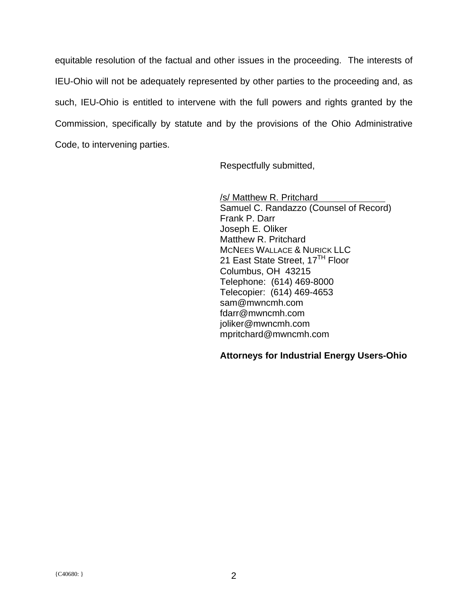equitable resolution of the factual and other issues in the proceeding. The interests of IEU-Ohio will not be adequately represented by other parties to the proceeding and, as such, IEU-Ohio is entitled to intervene with the full powers and rights granted by the Commission, specifically by statute and by the provisions of the Ohio Administrative Code, to intervening parties.

Respectfully submitted,

 /s/ Matthew R. Pritchard Samuel C. Randazzo (Counsel of Record) Frank P. Darr Joseph E. Oliker Matthew R. Pritchard MCNEES WALLACE & NURICK LLC 21 East State Street, 17<sup>TH</sup> Floor Columbus, OH 43215 Telephone: (614) 469-8000 Telecopier: (614) 469-4653 sam@mwncmh.com fdarr@mwncmh.com joliker@mwncmh.com mpritchard@mwncmh.com

### **Attorneys for Industrial Energy Users-Ohio**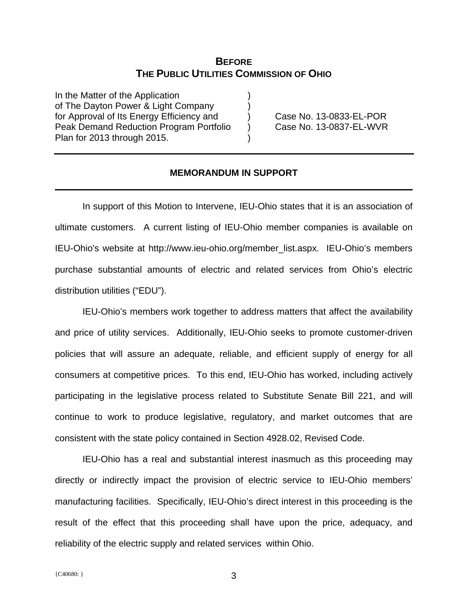## **BEFORE THE PUBLIC UTILITIES COMMISSION OF OHIO**

In the Matter of the Application of The Dayton Power & Light Company for Approval of Its Energy Efficiency and (a) Case No. 13-0833-EL-POR Peak Demand Reduction Program Portfolio (b) Case No. 13-0837-EL-WVR Plan for 2013 through 2015.

#### **MEMORANDUM IN SUPPORT**

In support of this Motion to Intervene, IEU-Ohio states that it is an association of ultimate customers. A current listing of IEU-Ohio member companies is available on IEU-Ohio's website at http://www.ieu-ohio.org/member\_list.aspx. IEU-Ohio's members purchase substantial amounts of electric and related services from Ohio's electric distribution utilities ("EDU").

IEU-Ohio's members work together to address matters that affect the availability and price of utility services. Additionally, IEU-Ohio seeks to promote customer-driven policies that will assure an adequate, reliable, and efficient supply of energy for all consumers at competitive prices. To this end, IEU-Ohio has worked, including actively participating in the legislative process related to Substitute Senate Bill 221, and will continue to work to produce legislative, regulatory, and market outcomes that are consistent with the state policy contained in Section 4928.02, Revised Code.

IEU-Ohio has a real and substantial interest inasmuch as this proceeding may directly or indirectly impact the provision of electric service to IEU-Ohio members' manufacturing facilities. Specifically, IEU-Ohio's direct interest in this proceeding is the result of the effect that this proceeding shall have upon the price, adequacy, and reliability of the electric supply and related services within Ohio.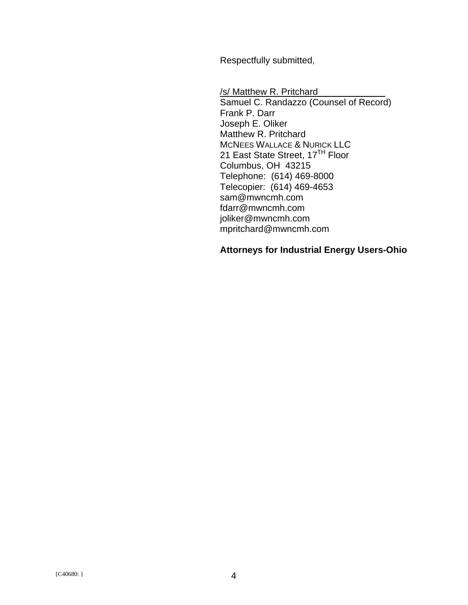Respectfully submitted,

 /s/ Matthew R. Pritchard Samuel C. Randazzo (Counsel of Record) Frank P. Darr Joseph E. Oliker Matthew R. Pritchard MCNEES WALLACE & NURICK LLC 21 East State Street, 17<sup>TH</sup> Floor Columbus, OH 43215 Telephone: (614) 469-8000 Telecopier: (614) 469-4653 sam@mwncmh.com fdarr@mwncmh.com joliker@mwncmh.com mpritchard@mwncmh.com

## **Attorneys for Industrial Energy Users-Ohio**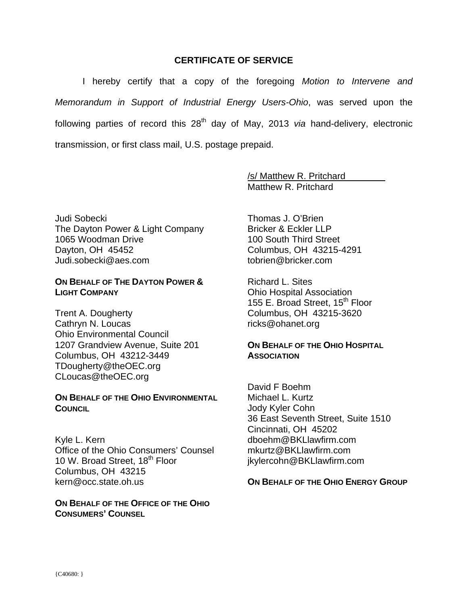### **CERTIFICATE OF SERVICE**

I hereby certify that a copy of the foregoing *Motion to Intervene and Memorandum in Support of Industrial Energy Users-Ohio*, was served upon the following parties of record this 28<sup>th</sup> day of May, 2013 *via* hand-delivery, electronic transmission, or first class mail, U.S. postage prepaid.

> /s/ Matthew R. Pritchard Matthew R. Pritchard

Judi Sobecki The Dayton Power & Light Company 1065 Woodman Drive Dayton, OH 45452 Judi.sobecki@aes.com

#### **ON BEHALF OF THE DAYTON POWER & LIGHT COMPANY**

Trent A. Dougherty Cathryn N. Loucas Ohio Environmental Council 1207 Grandview Avenue, Suite 201 Columbus, OH 43212-3449 TDougherty@theOEC.org CLoucas@theOEC.org

#### **ON BEHALF OF THE OHIO ENVIRONMENTAL COUNCIL**

Kyle L. Kern Office of the Ohio Consumers' Counsel 10 W. Broad Street, 18<sup>th</sup> Floor Columbus, OH 43215 kern@occ.state.oh.us

**ON BEHALF OF THE OFFICE OF THE OHIO CONSUMERS' COUNSEL**

Thomas J. O'Brien Bricker & Eckler LLP 100 South Third Street Columbus, OH 43215-4291 tobrien@bricker.com

Richard L. Sites Ohio Hospital Association 155 E. Broad Street, 15<sup>th</sup> Floor Columbus, OH 43215-3620 ricks@ohanet.org

### **ON BEHALF OF THE OHIO HOSPITAL ASSOCIATION**

David F Boehm Michael L. Kurtz Jody Kyler Cohn 36 East Seventh Street, Suite 1510 Cincinnati, OH 45202 dboehm@BKLlawfirm.com mkurtz@BKLlawfirm.com jkylercohn@BKLlawfirm.com

#### **ON BEHALF OF THE OHIO ENERGY GROUP**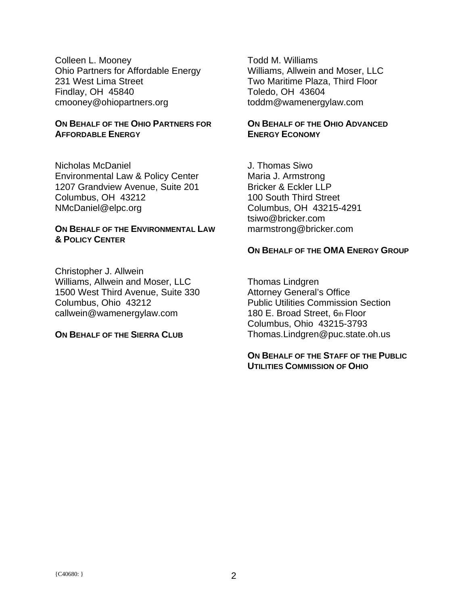Colleen L. Mooney Ohio Partners for Affordable Energy 231 West Lima Street Findlay, OH 45840 cmooney@ohiopartners.org

### **ON BEHALF OF THE OHIO PARTNERS FOR AFFORDABLE ENERGY**

Nicholas McDaniel Environmental Law & Policy Center 1207 Grandview Avenue, Suite 201 Columbus, OH 43212 NMcDaniel@elpc.org

### **ON BEHALF OF THE ENVIRONMENTAL LAW & POLICY CENTER**

Christopher J. Allwein Williams, Allwein and Moser, LLC 1500 West Third Avenue, Suite 330 Columbus, Ohio 43212 callwein@wamenergylaw.com

#### **ON BEHALF OF THE SIERRA CLUB**

Todd M. Williams Williams, Allwein and Moser, LLC Two Maritime Plaza, Third Floor Toledo, OH 43604 toddm@wamenergylaw.com

### **ON BEHALF OF THE OHIO ADVANCED ENERGY ECONOMY**

J. Thomas Siwo Maria J. Armstrong Bricker & Eckler LLP 100 South Third Street Columbus, OH 43215-4291 tsiwo@bricker.com marmstrong@bricker.com

### **ON BEHALF OF THE OMA ENERGY GROUP**

Thomas Lindgren Attorney General's Office Public Utilities Commission Section 180 E. Broad Street, 6th Floor Columbus, Ohio 43215-3793 Thomas.Lindgren@puc.state.oh.us

### **ON BEHALF OF THE STAFF OF THE PUBLIC UTILITIES COMMISSION OF OHIO**